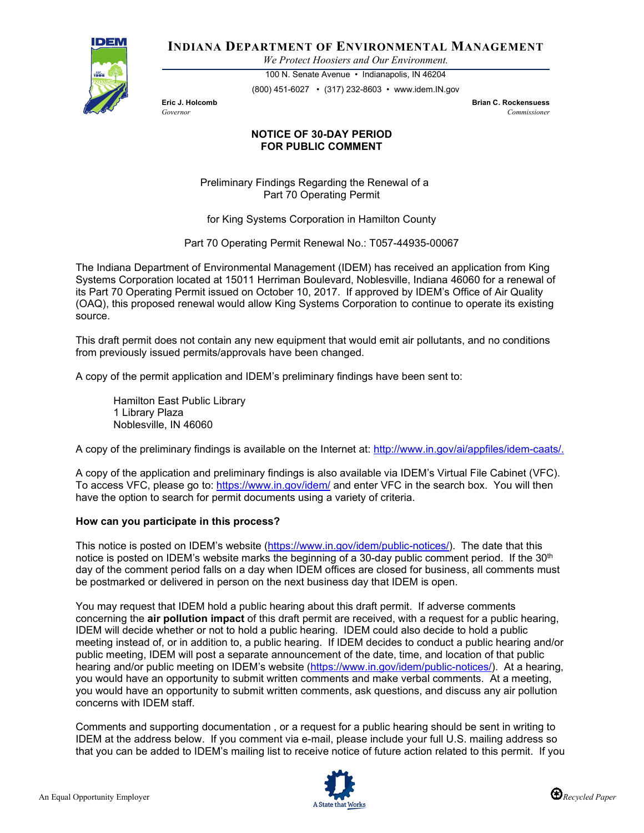

**INDIANA DEPARTMENT OF ENVIRONMENTAL MANAGEMENT**

*We Protect Hoosiers and Our Environment.*

100 N. Senate Avenue • Indianapolis, IN 46204 (800) 451-6027 • (317) 232-8603 • www.idem.IN.gov

**Eric J. Holcomb Brian C. Rockensuess** *Governor Commissioner* 

## **NOTICE OF 30-DAY PERIOD FOR PUBLIC COMMENT**

Preliminary Findings Regarding the Renewal of a Part 70 Operating Permit

for King Systems Corporation in Hamilton County

Part 70 Operating Permit Renewal No.: T057-44935-00067

The Indiana Department of Environmental Management (IDEM) has received an application from King Systems Corporation located at 15011 Herriman Boulevard, Noblesville, Indiana 46060 for a renewal of its Part 70 Operating Permit issued on October 10, 2017. If approved by IDEM's Office of Air Quality (OAQ), this proposed renewal would allow King Systems Corporation to continue to operate its existing source.

This draft permit does not contain any new equipment that would emit air pollutants, and no conditions from previously issued permits/approvals have been changed.

A copy of the permit application and IDEM's preliminary findings have been sent to:

Hamilton East Public Library 1 Library Plaza Noblesville, IN 46060

A copy of the preliminary findings is available on the Internet at: [http://www.in.gov/ai/appfiles/idem-caats/.](http://www.in.gov/ai/appfiles/idem-caats/)

A copy of the application and preliminary findings is also available via IDEM's Virtual File Cabinet (VFC). To access VFC, please go to:<https://www.in.gov/idem/> and enter VFC in the search box. You will then have the option to search for permit documents using a variety of criteria.

## **How can you participate in this process?**

This notice is posted on IDEM's website [\(https://www.in.gov/idem/public-notices/\)](https://www.in.gov/idem/public-notices/). The date that this notice is posted on IDEM's website marks the beginning of a 30-day public comment period. If the 30<sup>th</sup> day of the comment period falls on a day when IDEM offices are closed for business, all comments must be postmarked or delivered in person on the next business day that IDEM is open.

You may request that IDEM hold a public hearing about this draft permit. If adverse comments concerning the **air pollution impact** of this draft permit are received, with a request for a public hearing, IDEM will decide whether or not to hold a public hearing. IDEM could also decide to hold a public meeting instead of, or in addition to, a public hearing. If IDEM decides to conduct a public hearing and/or public meeting, IDEM will post a separate announcement of the date, time, and location of that public hearing and/or public meeting on IDEM's website [\(https://www.in.gov/idem/public-notices/\)](https://www.in.gov/idem/public-notices/). At a hearing, you would have an opportunity to submit written comments and make verbal comments. At a meeting, you would have an opportunity to submit written comments, ask questions, and discuss any air pollution concerns with IDEM staff.

Comments and supporting documentation , or a request for a public hearing should be sent in writing to IDEM at the address below. If you comment via e-mail, please include your full U.S. mailing address so that you can be added to IDEM's mailing list to receive notice of future action related to this permit. If you